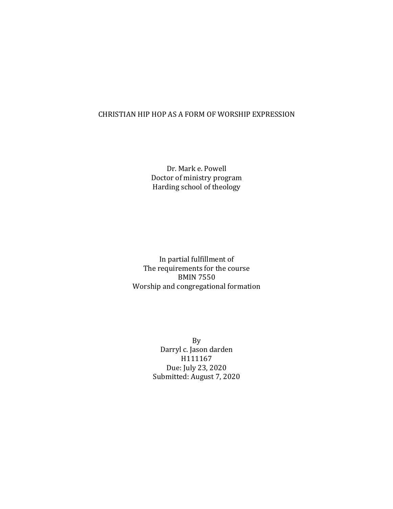## CHRISTIAN HIP HOP AS A FORM OF WORSHIP EXPRESSION

Dr. Mark e. Powell Doctor of ministry program Harding school of theology

In partial fulfillment of The requirements for the course BMIN 7550 Worship and congregational formation

> By Darryl c. Jason darden H111167 Due: July 23, 2020 Submitted: August 7, 2020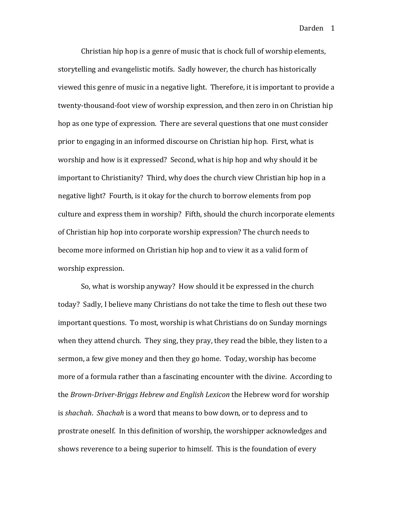Christian hip hop is a genre of music that is chock full of worship elements, storytelling and evangelistic motifs. Sadly however, the church has historically viewed this genre of music in a negative light. Therefore, it is important to provide a twenty-thousand-foot view of worship expression, and then zero in on Christian hip hop as one type of expression. There are several questions that one must consider prior to engaging in an informed discourse on Christian hip hop. First, what is worship and how is it expressed? Second, what is hip hop and why should it be important to Christianity? Third, why does the church view Christian hip hop in a negative light? Fourth, is it okay for the church to borrow elements from pop culture and express them in worship? Fifth, should the church incorporate elements of Christian hip hop into corporate worship expression? The church needs to become more informed on Christian hip hop and to view it as a valid form of worship expression.

So, what is worship anyway? How should it be expressed in the church today? Sadly, I believe many Christians do not take the time to flesh out these two important questions. To most, worship is what Christians do on Sunday mornings when they attend church. They sing, they pray, they read the bible, they listen to a sermon, a few give money and then they go home. Today, worship has become more of a formula rather than a fascinating encounter with the divine. According to the *Brown-Driver-Briggs Hebrew and English Lexicon* the Hebrew word for worship is *shachah*. *Shachah* is a word that means to bow down, or to depress and to prostrate oneself. In this definition of worship, the worshipper acknowledges and shows reverence to a being superior to himself. This is the foundation of every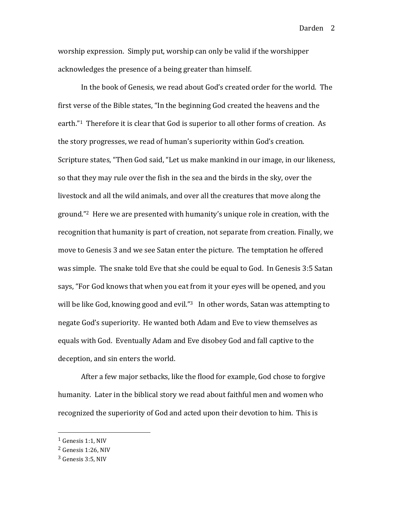worship expression. Simply put, worship can only be valid if the worshipper acknowledges the presence of a being greater than himself.

In the book of Genesis, we read about God's created order for the world. The first verse of the Bible states, "In the beginning God created the heavens and the earth."<sup>1</sup> Therefore it is clear that God is superior to all other forms of creation. As the story progresses, we read of human's superiority within God's creation. Scripture states, "Then God said, "Let us make mankind in our image, in our likeness, so that they may rule over the fish in the sea and the birds in the sky, over the livestock and all the wild animals, and over all the creatures that move along the ground."<sup>2</sup> Here we are presented with humanity's unique role in creation, with the recognition that humanity is part of creation, not separate from creation. Finally, we move to Genesis 3 and we see Satan enter the picture. The temptation he offered was simple. The snake told Eve that she could be equal to God. In Genesis 3:5 Satan says, "For God knows that when you eat from it your eyes will be opened, and you will be like God, knowing good and evil." $3 \times 10^{-4}$  In other words, Satan was attempting to negate God's superiority. He wanted both Adam and Eve to view themselves as equals with God. Eventually Adam and Eve disobey God and fall captive to the deception, and sin enters the world.

After a few major setbacks, like the flood for example, God chose to forgive humanity. Later in the biblical story we read about faithful men and women who recognized the superiority of God and acted upon their devotion to him. This is

 $1$  Genesis 1:1, NIV

 $2$  Genesis 1:26, NIV

 $3$  Genesis 3:5, NIV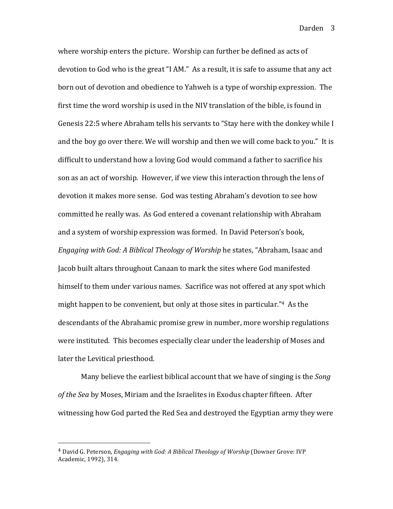where worship enters the picture. Worship can further be defined as acts of devotion to God who is the great "I AM." As a result, it is safe to assume that any act born out of devotion and obedience to Yahweh is a type of worship expression. The first time the word worship is used in the NIV translation of the bible, is found in Genesis 22:5 where Abraham tells his servants to "Stay here with the donkey while I and the boy go over there. We will worship and then we will come back to you." It is difficult to understand how a loving God would command a father to sacrifice his son as an act of worship. However, if we view this interaction through the lens of devotion it makes more sense. God was testing Abraham's devotion to see how committed he really was. As God entered a covenant relationship with Abraham and a system of worship expression was formed. In David Peterson's book, *Engaging with God: A Biblical Theology of Worship* he states, "Abraham, Isaac and Jacob built altars throughout Canaan to mark the sites where God manifested himself to them under various names. Sacrifice was not offered at any spot which might happen to be convenient, but only at those sites in particular."<sup>4</sup> As the descendants of the Abrahamic promise grew in number, more worship regulations were instituted. This becomes especially clear under the leadership of Moses and later the Levitical priesthood.

Many believe the earliest biblical account that we have of singing is the *Song* of the Sea by Moses, Miriam and the Israelites in Exodus chapter fifteen. After witnessing how God parted the Red Sea and destroyed the Egyptian army they were

<sup>&</sup>lt;sup>4</sup> David G. Peterson, *Engaging with God: A Biblical Theology of Worship* (Downer Grove: IVP Academic, 1992), 314.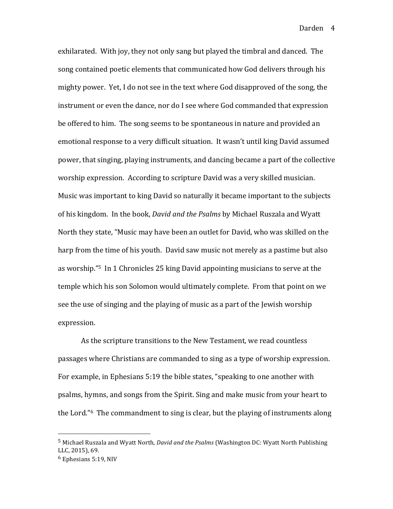exhilarated. With joy, they not only sang but played the timbral and danced. The song contained poetic elements that communicated how God delivers through his mighty power. Yet, I do not see in the text where God disapproved of the song, the instrument or even the dance, nor do I see where God commanded that expression be offered to him. The song seems to be spontaneous in nature and provided an emotional response to a very difficult situation. It wasn't until king David assumed power, that singing, playing instruments, and dancing became a part of the collective worship expression. According to scripture David was a very skilled musician. Music was important to king David so naturally it became important to the subjects of his kingdom. In the book, *David and the Psalms* by Michael Ruszala and Wyatt North they state, "Music may have been an outlet for David, who was skilled on the harp from the time of his youth. David saw music not merely as a pastime but also as worship."<sup>5</sup> In 1 Chronicles 25 king David appointing musicians to serve at the temple which his son Solomon would ultimately complete. From that point on we see the use of singing and the playing of music as a part of the Jewish worship expression. 

As the scripture transitions to the New Testament, we read countless passages where Christians are commanded to sing as a type of worship expression. For example, in Ephesians 5:19 the bible states, "speaking to one another with psalms, hymns, and songs from the Spirit. Sing and make music from your heart to the Lord."<sup>6</sup> The commandment to sing is clear, but the playing of instruments along

<sup>&</sup>lt;sup>5</sup> Michael Ruszala and Wyatt North, *David and the Psalms* (Washington DC: Wyatt North Publishing LLC, 2015), 69.

 $6$  Ephesians 5:19, NIV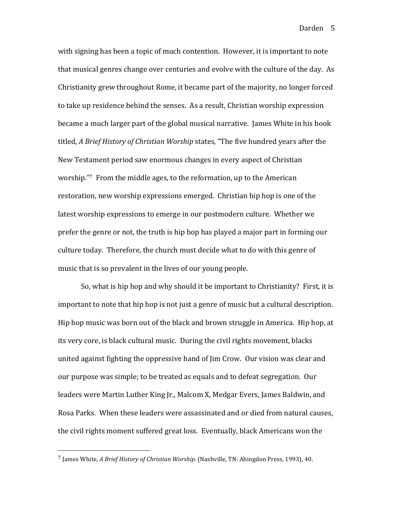with signing has been a topic of much contention. However, it is important to note that musical genres change over centuries and evolve with the culture of the day. As Christianity grew throughout Rome, it became part of the majority, no longer forced to take up residence behind the senses. As a result, Christian worship expression became a much larger part of the global musical narrative. James White in his book titled, *A Brief History of Christian Worship* states, "The five hundred years after the New Testament period saw enormous changes in every aspect of Christian worship. $"$ <sup>7</sup> From the middle ages, to the reformation, up to the American restoration, new worship expressions emerged. Christian hip hop is one of the latest worship expressions to emerge in our postmodern culture. Whether we prefer the genre or not, the truth is hip hop has played a major part in forming our culture today. Therefore, the church must decide what to do with this genre of music that is so prevalent in the lives of our young people.

So, what is hip hop and why should it be important to Christianity? First, it is important to note that hip hop is not just a genre of music but a cultural description. Hip hop music was born out of the black and brown struggle in America. Hip hop, at its very core, is black cultural music. During the civil rights movement, blacks united against fighting the oppressive hand of Jim Crow. Our vision was clear and our purpose was simple; to be treated as equals and to defeat segregation. Our leaders were Martin Luther King Jr., Malcom X, Medgar Evers, James Baldwin, and Rosa Parks. When these leaders were assassinated and or died from natural causes, the civil rights moment suffered great loss. Eventually, black Americans won the

<sup>&</sup>lt;sup>7</sup> James White, *A Brief History of Christian Worship.* (Nashville, TN: Abingdon Press, 1993), 40.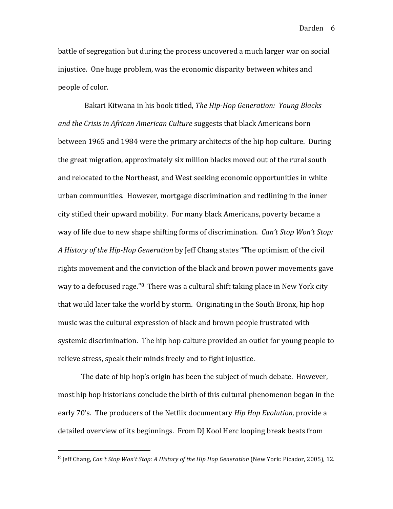battle of segregation but during the process uncovered a much larger war on social injustice. One huge problem, was the economic disparity between whites and people of color.

Bakari Kitwana in his book titled, *The Hip-Hop Generation: Young Blacks* and the Crisis in African American Culture suggests that black Americans born between 1965 and 1984 were the primary architects of the hip hop culture. During the great migration, approximately six million blacks moved out of the rural south and relocated to the Northeast, and West seeking economic opportunities in white urban communities. However, mortgage discrimination and redlining in the inner city stifled their upward mobility. For many black Americans, poverty became a way of life due to new shape shifting forms of discrimination. *Can't Stop Won't Stop:* A History of the Hip-Hop Generation by Jeff Chang states "The optimism of the civil rights movement and the conviction of the black and brown power movements gave way to a defocused rage."<sup>8</sup> There was a cultural shift taking place in New York city that would later take the world by storm. Originating in the South Bronx, hip hop music was the cultural expression of black and brown people frustrated with systemic discrimination. The hip hop culture provided an outlet for young people to relieve stress, speak their minds freely and to fight injustice.

The date of hip hop's origin has been the subject of much debate. However, most hip hop historians conclude the birth of this cultural phenomenon began in the early 70's. The producers of the Netflix documentary *Hip Hop Evolution*, provide a detailed overview of its beginnings. From DJ Kool Herc looping break beats from

<sup>&</sup>lt;sup>8</sup> Jeff Chang, *Can't Stop Won't Stop: A History of the Hip Hop Generation* (New York: Picador, 2005), 12.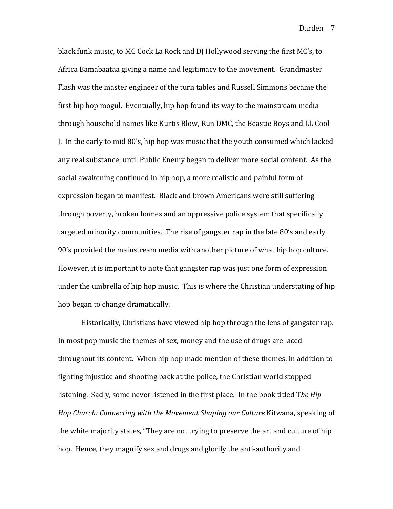black funk music, to MC Cock La Rock and DJ Hollywood serving the first MC's, to Africa Bamabaataa giving a name and legitimacy to the movement. Grandmaster Flash was the master engineer of the turn tables and Russell Simmons became the first hip hop mogul. Eventually, hip hop found its way to the mainstream media through household names like Kurtis Blow, Run DMC, the Beastie Boys and LL Cool J. In the early to mid  $80$ 's, hip hop was music that the youth consumed which lacked any real substance; until Public Enemy began to deliver more social content. As the social awakening continued in hip hop, a more realistic and painful form of expression began to manifest. Black and brown Americans were still suffering through poverty, broken homes and an oppressive police system that specifically targeted minority communities. The rise of gangster rap in the late 80's and early 90's provided the mainstream media with another picture of what hip hop culture. However, it is important to note that gangster rap was just one form of expression under the umbrella of hip hop music. This is where the Christian understating of hip hop began to change dramatically.

Historically, Christians have viewed hip hop through the lens of gangster rap. In most pop music the themes of sex, money and the use of drugs are laced throughout its content. When hip hop made mention of these themes, in addition to fighting injustice and shooting back at the police, the Christian world stopped listening. Sadly, some never listened in the first place. In the book titled The Hip *Hop Church: Connecting with the Movement Shaping our Culture Kitwana, speaking of* the white majority states, "They are not trying to preserve the art and culture of hip hop. Hence, they magnify sex and drugs and glorify the anti-authority and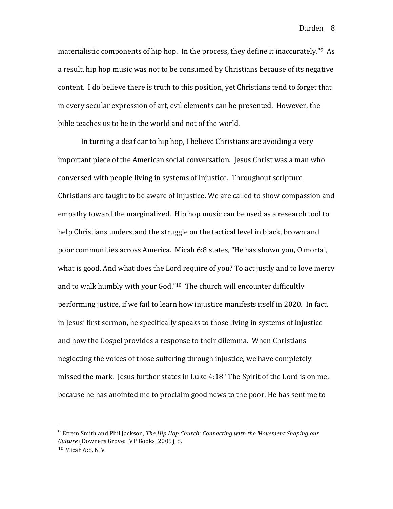materialistic components of hip hop. In the process, they define it inaccurately."<sup>9</sup> As a result, hip hop music was not to be consumed by Christians because of its negative content. I do believe there is truth to this position, yet Christians tend to forget that in every secular expression of art, evil elements can be presented. However, the bible teaches us to be in the world and not of the world.

In turning a deaf ear to hip hop, I believe Christians are avoiding a very important piece of the American social conversation. Jesus Christ was a man who conversed with people living in systems of injustice. Throughout scripture Christians are taught to be aware of injustice. We are called to show compassion and empathy toward the marginalized. Hip hop music can be used as a research tool to help Christians understand the struggle on the tactical level in black, brown and poor communities across America. Micah 6:8 states, "He has shown you, O mortal, what is good. And what does the Lord require of you? To act justly and to love mercy and to walk humbly with your God." $10$  The church will encounter difficultly performing justice, if we fail to learn how injustice manifests itself in 2020. In fact, in Jesus' first sermon, he specifically speaks to those living in systems of injustice and how the Gospel provides a response to their dilemma. When Christians neglecting the voices of those suffering through injustice, we have completely missed the mark. Jesus further states in Luke  $4:18$  "The Spirit of the Lord is on me, because he has anointed me to proclaim good news to the poor. He has sent me to

<sup>&</sup>lt;sup>9</sup> Efrem Smith and Phil Jackson, *The Hip Hop Church: Connecting with the Movement Shaping our Culture* (Downers Grove: IVP Books, 2005), 8.

 $10$  Micah 6:8, NIV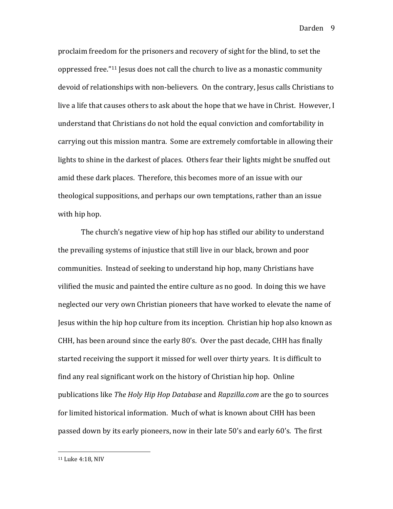proclaim freedom for the prisoners and recovery of sight for the blind, to set the oppressed free."<sup>11</sup> Jesus does not call the church to live as a monastic community devoid of relationships with non-believers. On the contrary, Jesus calls Christians to live a life that causes others to ask about the hope that we have in Christ. However, I understand that Christians do not hold the equal conviction and comfortability in carrying out this mission mantra. Some are extremely comfortable in allowing their lights to shine in the darkest of places. Others fear their lights might be snuffed out amid these dark places. Therefore, this becomes more of an issue with our theological suppositions, and perhaps our own temptations, rather than an issue with hip hop.

The church's negative view of hip hop has stifled our ability to understand the prevailing systems of injustice that still live in our black, brown and poor communities. Instead of seeking to understand hip hop, many Christians have vilified the music and painted the entire culture as no good. In doing this we have neglected our very own Christian pioneers that have worked to elevate the name of Jesus within the hip hop culture from its inception. Christian hip hop also known as CHH, has been around since the early 80's. Over the past decade, CHH has finally started receiving the support it missed for well over thirty years. It is difficult to find any real significant work on the history of Christian hip hop. Online publications like *The Holy Hip Hop Database* and *Rapzilla.com* are the go to sources for limited historical information. Much of what is known about CHH has been passed down by its early pioneers, now in their late 50's and early 60's. The first

<sup>&</sup>lt;sup>11</sup> Luke 4:18, NIV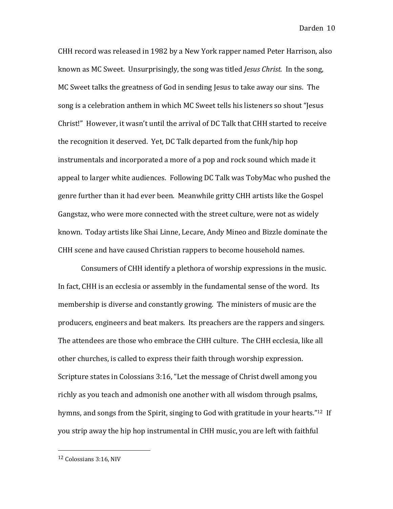CHH record was released in 1982 by a New York rapper named Peter Harrison, also known as MC Sweet. Unsurprisingly, the song was titled *Jesus Christ.* In the song, MC Sweet talks the greatness of God in sending Jesus to take away our sins. The song is a celebration anthem in which MC Sweet tells his listeners so shout "Jesus Christ!" However, it wasn't until the arrival of DC Talk that CHH started to receive the recognition it deserved. Yet, DC Talk departed from the funk/hip hop instrumentals and incorporated a more of a pop and rock sound which made it appeal to larger white audiences. Following DC Talk was TobyMac who pushed the genre further than it had ever been. Meanwhile gritty CHH artists like the Gospel Gangstaz, who were more connected with the street culture, were not as widely known. Today artists like Shai Linne, Lecare, Andy Mineo and Bizzle dominate the CHH scene and have caused Christian rappers to become household names.

Consumers of CHH identify a plethora of worship expressions in the music. In fact, CHH is an ecclesia or assembly in the fundamental sense of the word. Its membership is diverse and constantly growing. The ministers of music are the producers, engineers and beat makers. Its preachers are the rappers and singers. The attendees are those who embrace the CHH culture. The CHH ecclesia, like all other churches, is called to express their faith through worship expression. Scripture states in Colossians 3:16, "Let the message of Christ dwell among you richly as you teach and admonish one another with all wisdom through psalms, hymns, and songs from the Spirit, singing to God with gratitude in your hearts."<sup>12</sup> If you strip away the hip hop instrumental in CHH music, you are left with faithful

<sup>&</sup>lt;sup>12</sup> Colossians 3:16, NIV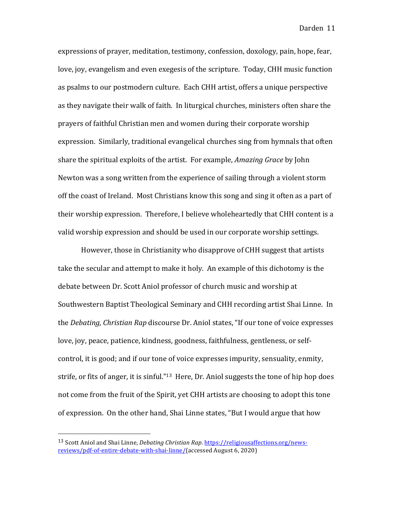expressions of prayer, meditation, testimony, confession, doxology, pain, hope, fear, love, joy, evangelism and even exegesis of the scripture. Today, CHH music function as psalms to our postmodern culture. Each CHH artist, offers a unique perspective as they navigate their walk of faith. In liturgical churches, ministers often share the prayers of faithful Christian men and women during their corporate worship expression. Similarly, traditional evangelical churches sing from hymnals that often share the spiritual exploits of the artist. For example, *Amazing Grace* by John Newton was a song written from the experience of sailing through a violent storm off the coast of Ireland. Most Christians know this song and sing it often as a part of their worship expression. Therefore, I believe wholeheartedly that CHH content is a valid worship expression and should be used in our corporate worship settings.

However, those in Christianity who disapprove of CHH suggest that artists take the secular and attempt to make it holy. An example of this dichotomy is the debate between Dr. Scott Aniol professor of church music and worship at Southwestern Baptist Theological Seminary and CHH recording artist Shai Linne. In the *Debating, Christian Rap* discourse Dr. Aniol states, "If our tone of voice expresses love, joy, peace, patience, kindness, goodness, faithfulness, gentleness, or selfcontrol, it is good; and if our tone of voice expresses impurity, sensuality, enmity, strife, or fits of anger, it is sinful."<sup>13</sup> Here, Dr. Aniol suggests the tone of hip hop does not come from the fruit of the Spirit, yet CHH artists are choosing to adopt this tone of expression. On the other hand, Shai Linne states, "But I would argue that how

<sup>&</sup>lt;sup>13</sup> Scott Aniol and Shai Linne, *Debating Christian Rap*. https://religiousaffections.org/newsreviews/pdf-of-entire-debate-with-shai-linne/(accessed August 6, 2020)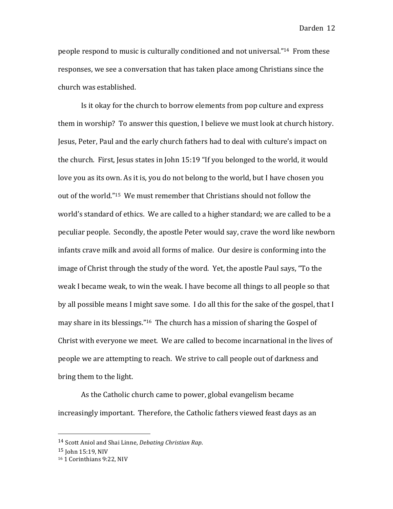people respond to music is culturally conditioned and not universal."<sup>14</sup> From these responses, we see a conversation that has taken place among Christians since the church was established.

Is it okay for the church to borrow elements from pop culture and express them in worship? To answer this question, I believe we must look at church history. Jesus, Peter, Paul and the early church fathers had to deal with culture's impact on the church. First, Jesus states in John  $15:19$  "If you belonged to the world, it would love you as its own. As it is, you do not belong to the world, but I have chosen you out of the world."<sup>15</sup> We must remember that Christians should not follow the world's standard of ethics. We are called to a higher standard; we are called to be a peculiar people. Secondly, the apostle Peter would say, crave the word like newborn infants crave milk and avoid all forms of malice. Our desire is conforming into the image of Christ through the study of the word. Yet, the apostle Paul says, "To the weak I became weak, to win the weak. I have become all things to all people so that by all possible means I might save some. I do all this for the sake of the gospel, that I may share in its blessings."<sup>16</sup> The church has a mission of sharing the Gospel of Christ with everyone we meet. We are called to become incarnational in the lives of people we are attempting to reach. We strive to call people out of darkness and bring them to the light.

As the Catholic church came to power, global evangelism became increasingly important. Therefore, the Catholic fathers viewed feast days as an

<sup>14</sup> Scott Aniol and Shai Linne, *Debating Christian Rap*.

 $15$  John  $15:19$ . NIV

<sup>&</sup>lt;sup>16</sup> 1 Corinthians 9:22, NIV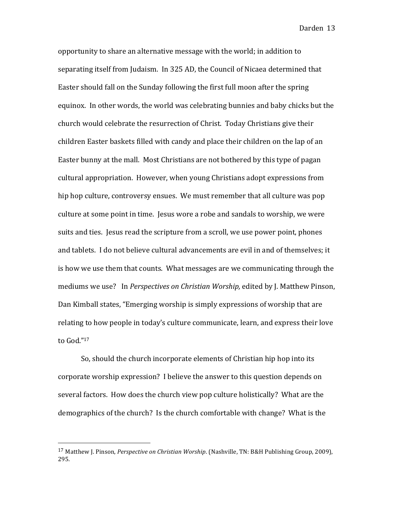opportunity to share an alternative message with the world; in addition to separating itself from Judaism. In 325 AD, the Council of Nicaea determined that Easter should fall on the Sunday following the first full moon after the spring equinox. In other words, the world was celebrating bunnies and baby chicks but the church would celebrate the resurrection of Christ. Today Christians give their children Easter baskets filled with candy and place their children on the lap of an Easter bunny at the mall. Most Christians are not bothered by this type of pagan cultural appropriation. However, when young Christians adopt expressions from hip hop culture, controversy ensues. We must remember that all culture was pop culture at some point in time. Jesus wore a robe and sandals to worship, we were suits and ties. Jesus read the scripture from a scroll, we use power point, phones and tablets. I do not believe cultural advancements are evil in and of themselves; it is how we use them that counts. What messages are we communicating through the mediums we use? In *Perspectives on Christian Worship*, edited by J. Matthew Pinson, Dan Kimball states, "Emerging worship is simply expressions of worship that are relating to how people in today's culture communicate, learn, and express their love to God."17

So, should the church incorporate elements of Christian hip hop into its corporate worship expression? I believe the answer to this question depends on several factors. How does the church view pop culture holistically? What are the demographics of the church? Is the church comfortable with change? What is the

<sup>&</sup>lt;sup>17</sup> Matthew J. Pinson, *Perspective on Christian Worship.* (Nashville, TN: B&H Publishing Group, 2009), 295.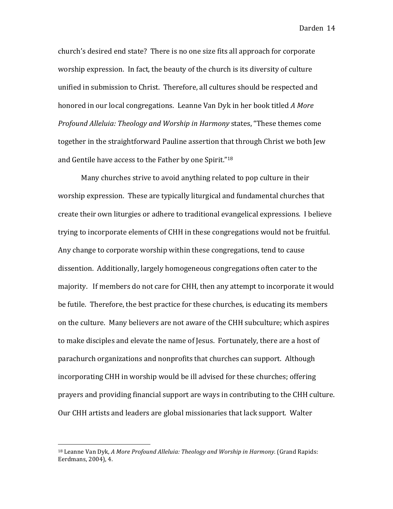church's desired end state? There is no one size fits all approach for corporate worship expression. In fact, the beauty of the church is its diversity of culture unified in submission to Christ. Therefore, all cultures should be respected and honored in our local congregations. Leanne Van Dyk in her book titled *A More Profound Alleluia: Theology and Worship in Harmony states,* "These themes come together in the straightforward Pauline assertion that through Christ we both Jew and Gentile have access to the Father by one Spirit."<sup>18</sup>

Many churches strive to avoid anything related to pop culture in their worship expression. These are typically liturgical and fundamental churches that create their own liturgies or adhere to traditional evangelical expressions. I believe trying to incorporate elements of CHH in these congregations would not be fruitful. Any change to corporate worship within these congregations, tend to cause dissention. Additionally, largely homogeneous congregations often cater to the majority. If members do not care for CHH, then any attempt to incorporate it would be futile. Therefore, the best practice for these churches, is educating its members on the culture. Many believers are not aware of the CHH subculture; which aspires to make disciples and elevate the name of Jesus. Fortunately, there are a host of parachurch organizations and nonprofits that churches can support. Although incorporating CHH in worship would be ill advised for these churches; offering prayers and providing financial support are ways in contributing to the CHH culture. Our CHH artists and leaders are global missionaries that lack support. Walter

<sup>&</sup>lt;sup>18</sup> Leanne Van Dyk, *A More Profound Alleluia: Theology and Worship in Harmony.* (Grand Rapids: Eerdmans, 2004), 4.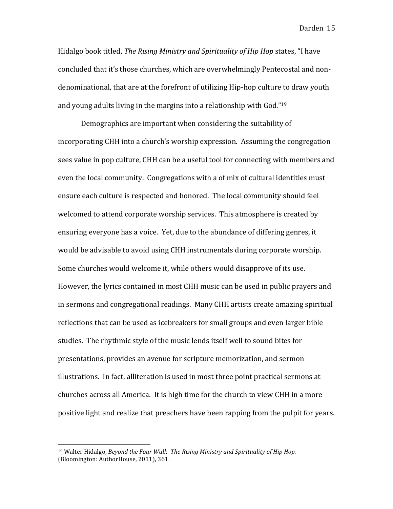Hidalgo book titled, *The Rising Ministry and Spirituality of Hip Hop* states, "I have concluded that it's those churches, which are overwhelmingly Pentecostal and nondenominational, that are at the forefront of utilizing Hip-hop culture to draw youth and young adults living in the margins into a relationship with  $God."19$ 

Demographics are important when considering the suitability of incorporating CHH into a church's worship expression. Assuming the congregation sees value in pop culture, CHH can be a useful tool for connecting with members and even the local community. Congregations with a of mix of cultural identities must ensure each culture is respected and honored. The local community should feel welcomed to attend corporate worship services. This atmosphere is created by ensuring everyone has a voice. Yet, due to the abundance of differing genres, it would be advisable to avoid using CHH instrumentals during corporate worship. Some churches would welcome it, while others would disapprove of its use. However, the lyrics contained in most CHH music can be used in public prayers and in sermons and congregational readings. Many CHH artists create amazing spiritual reflections that can be used as icebreakers for small groups and even larger bible studies. The rhythmic style of the music lends itself well to sound bites for presentations, provides an avenue for scripture memorization, and sermon illustrations. In fact, alliteration is used in most three point practical sermons at churches across all America. It is high time for the church to view CHH in a more positive light and realize that preachers have been rapping from the pulpit for years.

<sup>&</sup>lt;sup>19</sup> Walter Hidalgo, *Beyond the Four Wall: The Rising Ministry and Spirituality of Hip Hop.* (Bloomington: AuthorHouse, 2011), 361.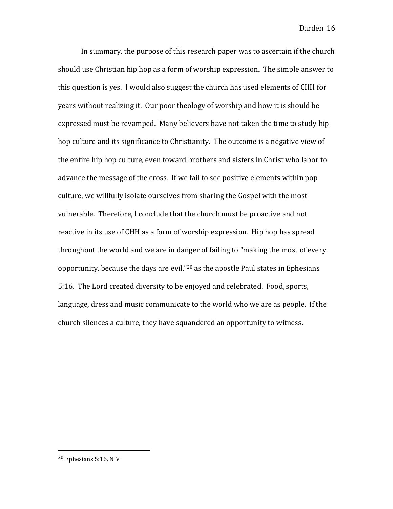In summary, the purpose of this research paper was to ascertain if the church should use Christian hip hop as a form of worship expression. The simple answer to this question is yes. I would also suggest the church has used elements of CHH for years without realizing it. Our poor theology of worship and how it is should be expressed must be revamped. Many believers have not taken the time to study hip hop culture and its significance to Christianity. The outcome is a negative view of the entire hip hop culture, even toward brothers and sisters in Christ who labor to advance the message of the cross. If we fail to see positive elements within pop culture, we willfully isolate ourselves from sharing the Gospel with the most vulnerable. Therefore, I conclude that the church must be proactive and not reactive in its use of CHH as a form of worship expression. Hip hop has spread throughout the world and we are in danger of failing to "making the most of every opportunity, because the days are evil."<sup>20</sup> as the apostle Paul states in Ephesians 5:16. The Lord created diversity to be enjoyed and celebrated. Food, sports, language, dress and music communicate to the world who we are as people. If the church silences a culture, they have squandered an opportunity to witness.

 $20$  Ephesians 5:16, NIV